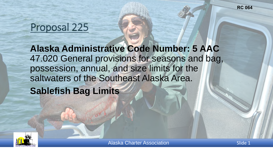# Proposal 225

 **Alaska Administrative Code Number: 5 AAC**  47.020 General provisions for seasons and bag, possession, annual, and size limits for the saltwaters of the Southeast Alaska Area. **Sablefish Bag Limits** 

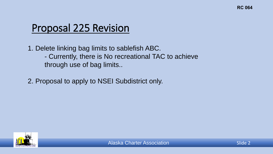## Proposal 225 Revision

 - Currently, there is No recreational TAC to achieve 1. Delete linking bag limits to sablefish ABC. through use of bag limits..

2. Proposal to apply to NSEI Subdistrict only.

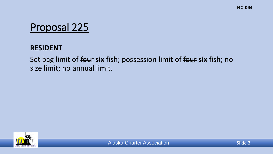# Proposal 225

#### **RESIDENT**

#### Set bag limit of four **six** fish; possession limit of four **six** fish; no size limit; no annual limit.

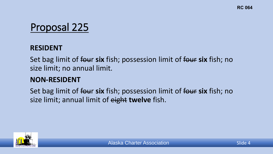# Proposal 225

#### **RESIDENT**

 Set bag limit of four **six** fish; possession limit of four **six** fish; no size limit; no annual limit.

### **NON-RESIDENT**

 Set bag limit of four **six** fish; possession limit of four **six** fish; no size limit; annual limit of eight **twelve** fish.

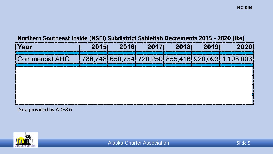#### Northern Southeast Inside (NSEI) Subdistrict Sablefish Decrements 2015 - 2020 (Ibs)

| <b>Voar</b> | 20151 | 20161 | 20171 | 20181 | 2019 |  |
|-------------|-------|-------|-------|-------|------|--|
|             |       |       |       |       |      |  |
|             |       |       |       |       |      |  |
|             |       |       |       |       |      |  |
|             |       |       |       |       |      |  |
|             |       |       |       |       |      |  |

Data provided by ADF&G

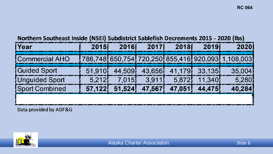#### Northern Southeast Inside (NSEI) Subdistrict Sablefish Decrements 2015 - 2020 (lbs)

| l Year                | 2015   | 20161         | 20171 | 20181 | 2019                    |                                                   |
|-----------------------|--------|---------------|-------|-------|-------------------------|---------------------------------------------------|
| <b>Commercial AHO</b> |        |               |       |       |                         | 786,748 650,754 720,250 855,416 920,093 1,108,003 |
| <b>Guided Sport</b>   | 51,910 | 44.509        |       |       | 43,656/ 41,179/ 33,135/ | 35.004                                            |
| <b>Unguided Sport</b> | 5.212  | 7.015         | 3.911 |       | $5,872$ 11.340          |                                                   |
| Sport Combined        |        | 57.122 51.524 |       |       | 47,567, 47,051, 44,475, |                                                   |

**Data provided by ADF&G** 

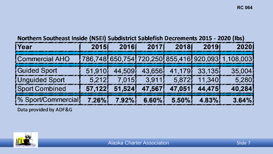Northern Southeast Inside (NSEI) Subdistrict Sablefish Decrements 2015 - 2020 (lbs)

| <b>TYear</b>                         | 2015 | 2016 | 2017 | 2018                                                                   | 20191          | 2020                                              |
|--------------------------------------|------|------|------|------------------------------------------------------------------------|----------------|---------------------------------------------------|
| <b>Commercial AHO</b>                |      |      |      |                                                                        |                | 786,748 650,754 720,250 855,416 920,093 1,108,003 |
| <b>Guided Sport</b>                  |      |      |      | 51,910 44,509 43,656 41,179 33,135                                     |                | $-35,004$                                         |
| <b>Unguided Sport</b>                |      |      |      | $\begin{bmatrix} 5,212 & 7,015 & 3,911 & 5,872 & 11,340 \end{bmatrix}$ |                | 5,280                                             |
| <b>Sport Combined</b>                |      |      |      | 57,122, 51,524, 47,567, 47,051, 44,475,                                |                | 40,284                                            |
| % Sport/Commercial 7.26% 7.92% 6.60% |      |      |      |                                                                        | $5.50\%$ 4.83% | $3.64\%$                                          |

Data provided by ADF&G

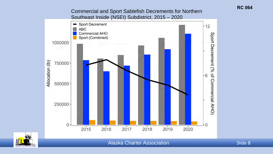**Commercial and Sport Sablefish Decrements for Northern** Southeast Inside (NSEI) Subdistrict, 2015 - 2020





**Alaska Charter Association**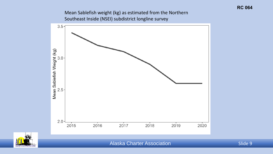Mean Sablefish weight (kg) as estimated from the Northern Southeast Inside (NSEI) subdistrict longline survey





Alaska Charter Association Number 2012 1994 Slide 9

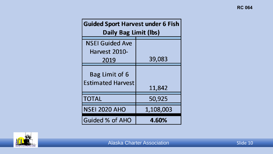| <b>Guided Sport Harvest under 6 Fish</b><br>Daily Bag Limit (lbs) |           |  |  |  |
|-------------------------------------------------------------------|-----------|--|--|--|
| <b>NSEI Guided Ave</b>                                            |           |  |  |  |
| Harvest 2010-                                                     |           |  |  |  |
| 2019                                                              | 39,083    |  |  |  |
| Bag Limit of 6<br><b>Estimated Harvest</b>                        | 11,842    |  |  |  |
| <b>TOTAL</b>                                                      | 50,925    |  |  |  |
| <b>NSEI 2020 AHO</b>                                              | 1,108,003 |  |  |  |
| <b>Guided % of AHO</b>                                            | 4.60%     |  |  |  |

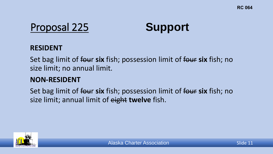

#### **RESIDENT**

 Set bag limit of four **six** fish; possession limit of four **six** fish; no size limit; no annual limit.

#### **NON-RESIDENT**

 Set bag limit of four **six** fish; possession limit of four **six** fish; no size limit; annual limit of eight **twelve** fish.